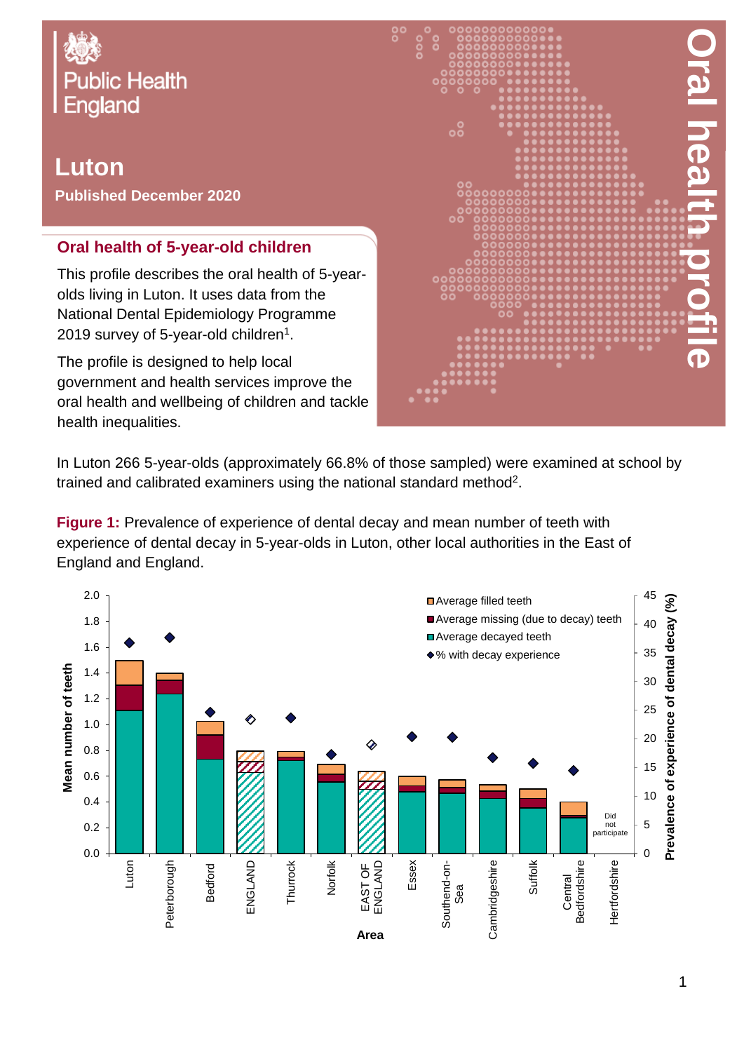

## **Luton Published December 2020**

## **Oral health of 5-year-old children**

This profile describes the oral health of 5-yearolds living in Luton. It uses data from the National Dental Epidemiology Programme 2019 survey of 5-year-old children $^{\rm 1}.$ 

The profile is designed to help local government and health services improve the oral health and wellbeing of children and tackle health inequalities.



In Luton 266 5-year-olds (approximately 66.8% of those sampled) were examined at school by trained and calibrated examiners using the national standard method<sup>2</sup>.

**Figure 1:** Prevalence of experience of dental decay and mean number of teeth with experience of dental decay in 5-year-olds in Luton, other local authorities in the East of England and England.

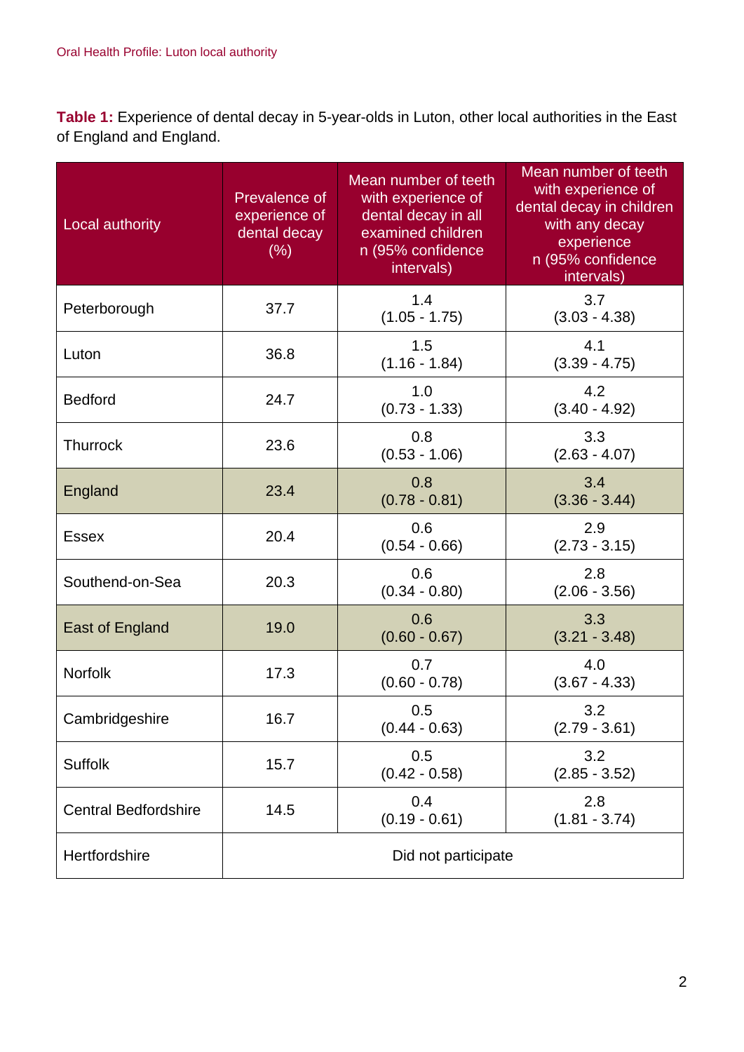**Table 1:** Experience of dental decay in 5-year-olds in Luton, other local authorities in the East of England and England.

| Local authority             | Prevalence of<br>experience of<br>dental decay<br>(% ) | Mean number of teeth<br>with experience of<br>dental decay in all<br>examined children<br>n (95% confidence<br>intervals) | Mean number of teeth<br>with experience of<br>dental decay in children<br>with any decay<br>experience<br>n (95% confidence<br>intervals) |  |  |
|-----------------------------|--------------------------------------------------------|---------------------------------------------------------------------------------------------------------------------------|-------------------------------------------------------------------------------------------------------------------------------------------|--|--|
| Peterborough                | 37.7                                                   | 1.4<br>$(1.05 - 1.75)$                                                                                                    | 3.7<br>$(3.03 - 4.38)$                                                                                                                    |  |  |
| Luton                       | 36.8                                                   | 1.5<br>$(1.16 - 1.84)$                                                                                                    | 4.1<br>$(3.39 - 4.75)$                                                                                                                    |  |  |
| <b>Bedford</b>              | 24.7                                                   | 1.0<br>$(0.73 - 1.33)$                                                                                                    | 4.2<br>$(3.40 - 4.92)$                                                                                                                    |  |  |
| <b>Thurrock</b>             | 23.6                                                   | 0.8<br>$(0.53 - 1.06)$                                                                                                    | 3.3<br>$(2.63 - 4.07)$                                                                                                                    |  |  |
| England                     | 23.4                                                   | 0.8<br>$(0.78 - 0.81)$                                                                                                    | 3.4<br>$(3.36 - 3.44)$                                                                                                                    |  |  |
| <b>Essex</b>                | 20.4                                                   | 0.6<br>$(0.54 - 0.66)$                                                                                                    | 2.9<br>$(2.73 - 3.15)$                                                                                                                    |  |  |
| Southend-on-Sea             | 20.3                                                   | 0.6<br>$(0.34 - 0.80)$                                                                                                    | 2.8<br>$(2.06 - 3.56)$                                                                                                                    |  |  |
| East of England             | 19.0                                                   | 0.6<br>$(0.60 - 0.67)$                                                                                                    | 3.3<br>$(3.21 - 3.48)$                                                                                                                    |  |  |
| <b>Norfolk</b>              | 17.3                                                   | 0.7<br>$(0.60 - 0.78)$                                                                                                    | 4.0<br>$(3.67 - 4.33)$                                                                                                                    |  |  |
| Cambridgeshire              | 16.7                                                   | 0.5<br>$(0.44 - 0.63)$                                                                                                    | 3.2<br>$(2.79 - 3.61)$                                                                                                                    |  |  |
| <b>Suffolk</b>              | 15.7                                                   | 0.5<br>$(0.42 - 0.58)$                                                                                                    | 3.2<br>$(2.85 - 3.52)$                                                                                                                    |  |  |
| <b>Central Bedfordshire</b> | 14.5                                                   | 0.4<br>$(0.19 - 0.61)$                                                                                                    | 2.8<br>$(1.81 - 3.74)$                                                                                                                    |  |  |
| Hertfordshire               |                                                        | Did not participate                                                                                                       |                                                                                                                                           |  |  |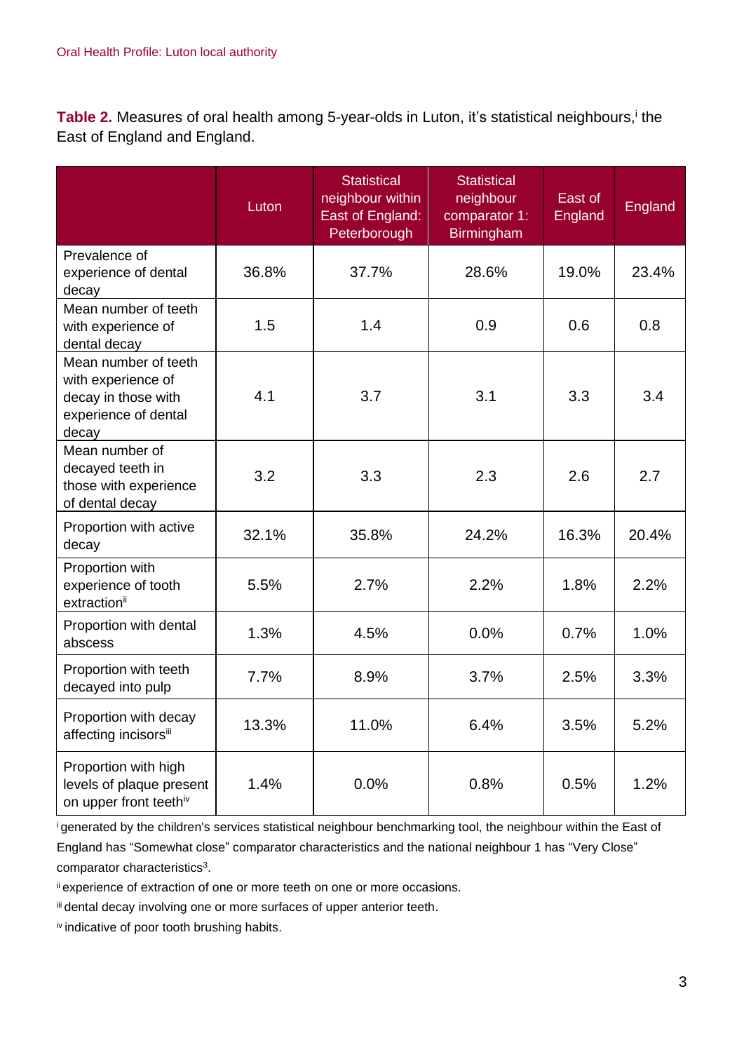Table 2. Measures of oral health among 5-year-olds in Luton, it's statistical neighbours,<sup>i</sup> the East of England and England.

|                                                                                                    | Luton | <b>Statistical</b><br>neighbour within<br>East of England:<br>Peterborough | <b>Statistical</b><br>neighbour<br>comparator 1:<br><b>Birmingham</b> | East of<br>England | England |
|----------------------------------------------------------------------------------------------------|-------|----------------------------------------------------------------------------|-----------------------------------------------------------------------|--------------------|---------|
| Prevalence of<br>experience of dental<br>decay                                                     | 36.8% | 37.7%                                                                      | 28.6%                                                                 | 19.0%              | 23.4%   |
| Mean number of teeth<br>with experience of<br>dental decay                                         | 1.5   | 1.4                                                                        | 0.9                                                                   | 0.6                | 0.8     |
| Mean number of teeth<br>with experience of<br>decay in those with<br>experience of dental<br>decay | 4.1   | 3.7                                                                        | 3.1                                                                   | 3.3                | 3.4     |
| Mean number of<br>decayed teeth in<br>those with experience<br>of dental decay                     | 3.2   | 3.3                                                                        | 2.3                                                                   | 2.6                | 2.7     |
| Proportion with active<br>decay                                                                    | 32.1% | 35.8%                                                                      | 24.2%                                                                 | 16.3%              | 20.4%   |
| Proportion with<br>experience of tooth<br>extraction <sup>ii</sup>                                 | 5.5%  | 2.7%                                                                       | 2.2%                                                                  | 1.8%               | 2.2%    |
| Proportion with dental<br>abscess                                                                  | 1.3%  | 4.5%                                                                       | 0.0%                                                                  | 0.7%               | 1.0%    |
| Proportion with teeth<br>decayed into pulp                                                         | 7.7%  | 8.9%                                                                       | 3.7%                                                                  | 2.5%               | 3.3%    |
| Proportion with decay<br>affecting incisorsiii                                                     | 13.3% | 11.0%                                                                      | 6.4%                                                                  | 3.5%               | 5.2%    |
| Proportion with high<br>levels of plaque present<br>on upper front teethiv                         | 1.4%  | 0.0%                                                                       | 0.8%                                                                  | 0.5%               | 1.2%    |

<sup>i</sup>generated by the children's services statistical neighbour benchmarking tool, the neighbour within the East of England has "Somewhat close" comparator characteristics and the national neighbour 1 has "Very Close" comparator characteristics<sup>3</sup>.

ii experience of extraction of one or more teeth on one or more occasions.

iii dental decay involving one or more surfaces of upper anterior teeth.

iv indicative of poor tooth brushing habits.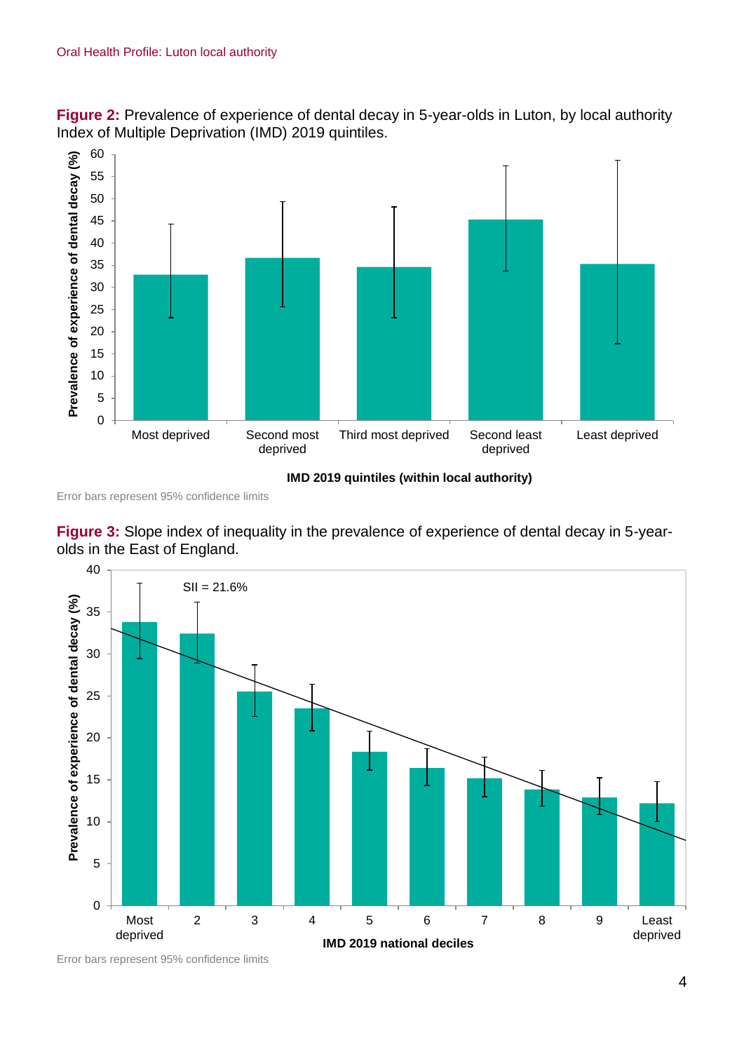



Error bars represent 95% confidence limits





Error bars represent 95% confidence limits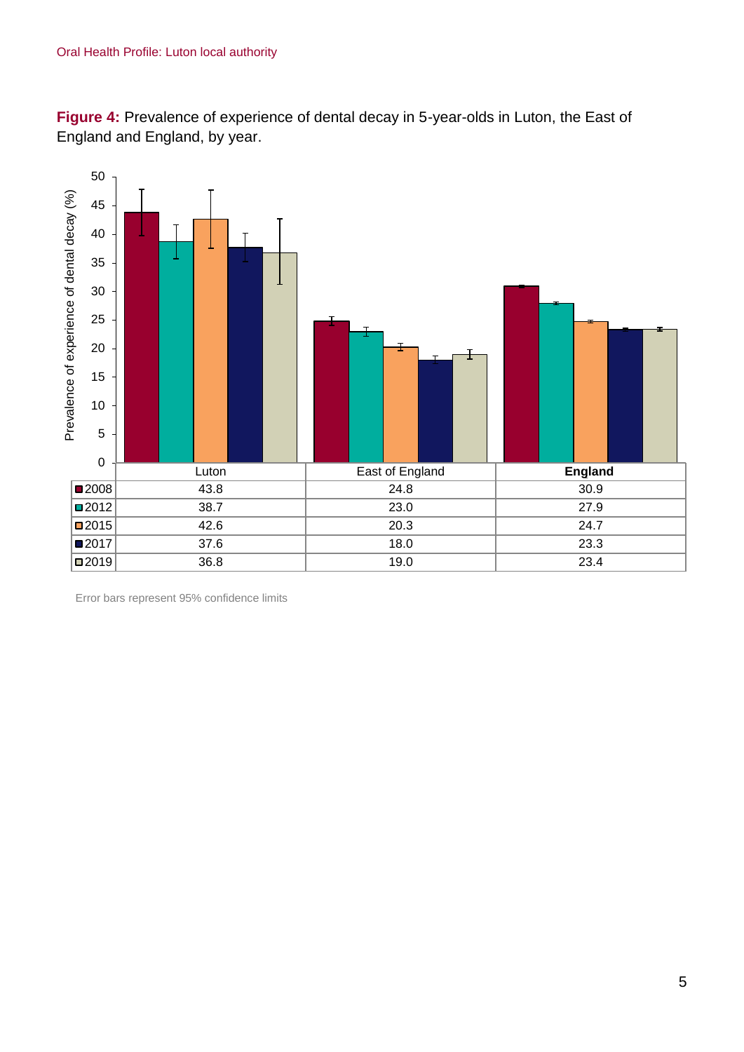**Figure 4:** Prevalence of experience of dental decay in 5-year-olds in Luton, the East of England and England, by year.



Error bars represent 95% confidence limits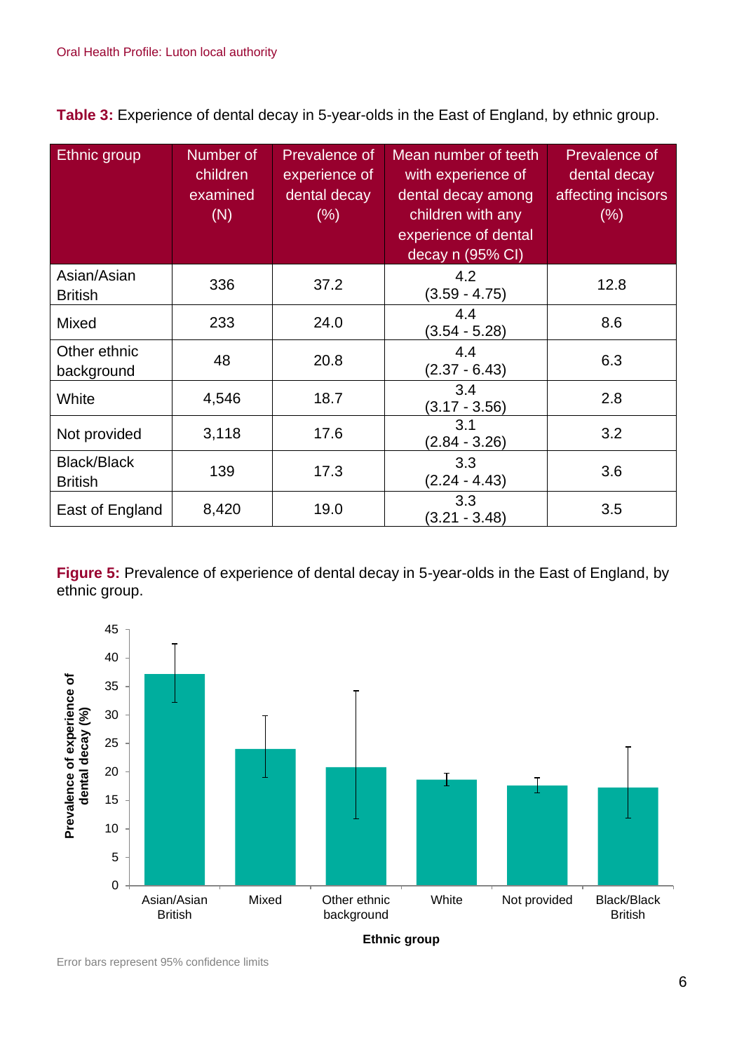**Table 3:** Experience of dental decay in 5-year-olds in the East of England, by ethnic group.

| Ethnic group                         | Number of<br>children<br>examined<br>(N) | <b>Prevalence of</b><br>experience of<br>dental decay<br>$(\% )$ | Mean number of teeth<br>with experience of<br>dental decay among<br>children with any<br>experience of dental<br>decay n (95% CI) | Prevalence of<br>dental decay<br>affecting incisors<br>(% ) |
|--------------------------------------|------------------------------------------|------------------------------------------------------------------|-----------------------------------------------------------------------------------------------------------------------------------|-------------------------------------------------------------|
| Asian/Asian<br><b>British</b>        | 336                                      | 37.2                                                             | 4.2<br>$(3.59 - 4.75)$                                                                                                            | 12.8                                                        |
| Mixed                                | 233                                      | 24.0                                                             | 4.4<br>$(3.54 - 5.28)$                                                                                                            | 8.6                                                         |
| Other ethnic<br>background           | 48                                       | 20.8                                                             | 4.4<br>$(2.37 - 6.43)$                                                                                                            | 6.3                                                         |
| White                                | 4,546                                    | 18.7                                                             | 3.4<br>$(3.17 - 3.56)$                                                                                                            | 2.8                                                         |
| Not provided                         | 3,118                                    | 17.6                                                             | 3.1<br>$(2.84 - 3.26)$                                                                                                            | 3.2                                                         |
| <b>Black/Black</b><br><b>British</b> | 139                                      | 17.3                                                             | 3.3<br>$(2.24 - 4.43)$                                                                                                            | 3.6                                                         |
| East of England                      | 8,420                                    | 19.0                                                             | 3.3<br>$(3.21 - 3.48)$                                                                                                            | 3.5                                                         |

**Figure 5:** Prevalence of experience of dental decay in 5-year-olds in the East of England, by ethnic group.



Error bars represent 95% confidence limits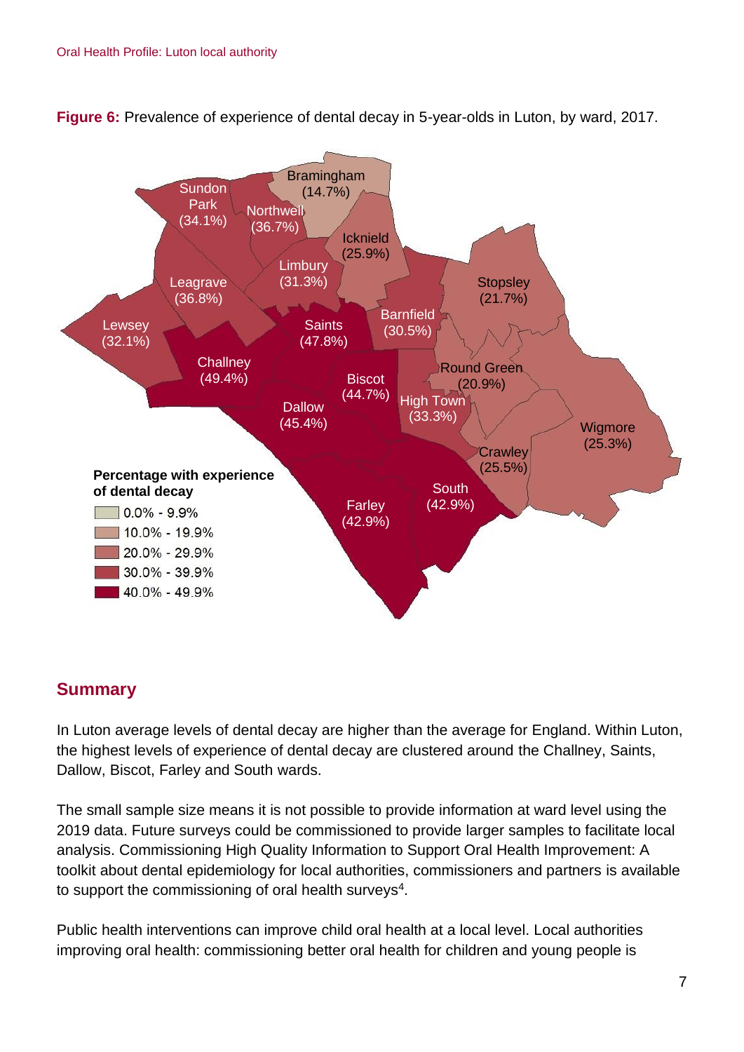

**Figure 6:** Prevalence of experience of dental decay in 5-year-olds in Luton, by ward, 2017.

## **Summary**

In Luton average levels of dental decay are higher than the average for England. Within Luton, the highest levels of experience of dental decay are clustered around the Challney, Saints, Dallow, Biscot, Farley and South wards.

The small sample size means it is not possible to provide information at ward level using the 2019 data. Future surveys could be commissioned to provide larger samples to facilitate local analysis. Commissioning High Quality Information to Support Oral Health Improvement: A toolkit about dental epidemiology for local authorities, commissioners and partners is available to support the commissioning of oral health surveys<sup>4</sup>.

Public health interventions can improve child oral health at a local level. Local authorities improving oral health: commissioning better oral health for children and young people is